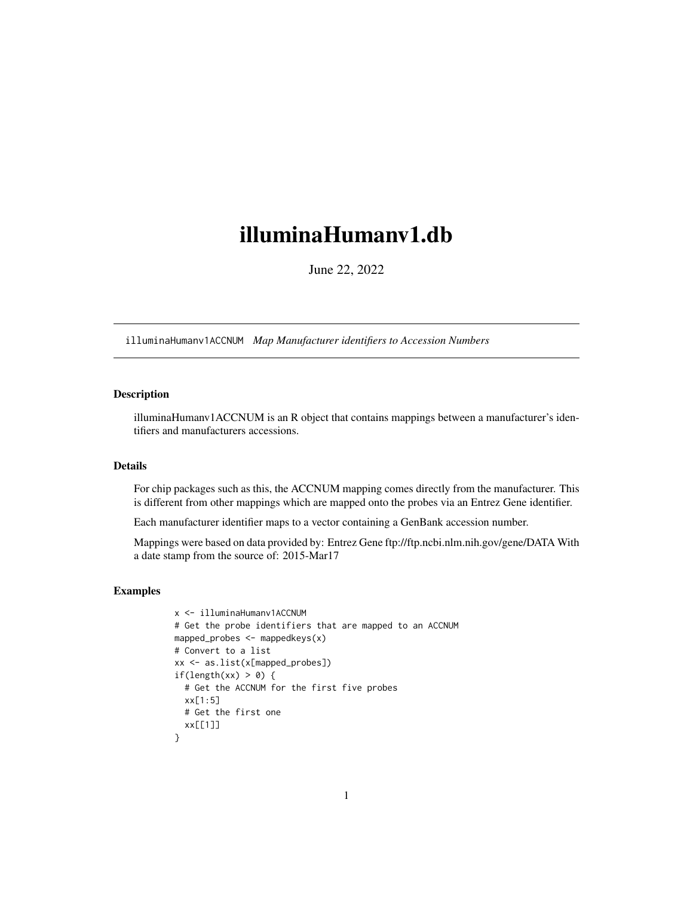## <span id="page-0-1"></span><span id="page-0-0"></span>illuminaHumanv1.db

June 22, 2022

illuminaHumanv1ACCNUM *Map Manufacturer identifiers to Accession Numbers*

## Description

illuminaHumanv1ACCNUM is an R object that contains mappings between a manufacturer's identifiers and manufacturers accessions.

## Details

For chip packages such as this, the ACCNUM mapping comes directly from the manufacturer. This is different from other mappings which are mapped onto the probes via an Entrez Gene identifier.

Each manufacturer identifier maps to a vector containing a GenBank accession number.

Mappings were based on data provided by: Entrez Gene ftp://ftp.ncbi.nlm.nih.gov/gene/DATA With a date stamp from the source of: 2015-Mar17

```
x <- illuminaHumanv1ACCNUM
# Get the probe identifiers that are mapped to an ACCNUM
mapped_probes <- mappedkeys(x)
# Convert to a list
xx <- as.list(x[mapped_probes])
if(length(xx) > 0) {
  # Get the ACCNUM for the first five probes
  xx[1:5]
  # Get the first one
  xx[[1]]
}
```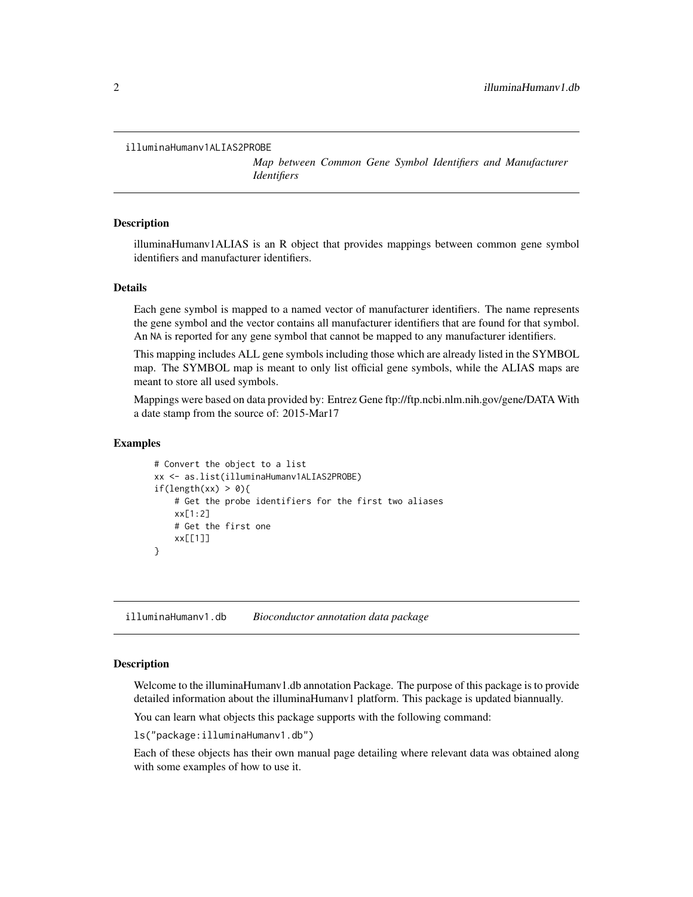```
illuminaHumanv1ALIAS2PROBE
```
*Map between Common Gene Symbol Identifiers and Manufacturer Identifiers*

## **Description**

illuminaHumanv1ALIAS is an R object that provides mappings between common gene symbol identifiers and manufacturer identifiers.

## Details

Each gene symbol is mapped to a named vector of manufacturer identifiers. The name represents the gene symbol and the vector contains all manufacturer identifiers that are found for that symbol. An NA is reported for any gene symbol that cannot be mapped to any manufacturer identifiers.

This mapping includes ALL gene symbols including those which are already listed in the SYMBOL map. The SYMBOL map is meant to only list official gene symbols, while the ALIAS maps are meant to store all used symbols.

Mappings were based on data provided by: Entrez Gene ftp://ftp.ncbi.nlm.nih.gov/gene/DATA With a date stamp from the source of: 2015-Mar17

## Examples

```
# Convert the object to a list
xx <- as.list(illuminaHumanv1ALIAS2PROBE)
if(length(xx) > 0){
   # Get the probe identifiers for the first two aliases
   xx[1:2]
   # Get the first one
   xx[[1]]
}
```
illuminaHumanv1.db *Bioconductor annotation data package*

## **Description**

Welcome to the illuminaHumanv1.db annotation Package. The purpose of this package is to provide detailed information about the illuminaHumanv1 platform. This package is updated biannually.

You can learn what objects this package supports with the following command:

ls("package:illuminaHumanv1.db")

Each of these objects has their own manual page detailing where relevant data was obtained along with some examples of how to use it.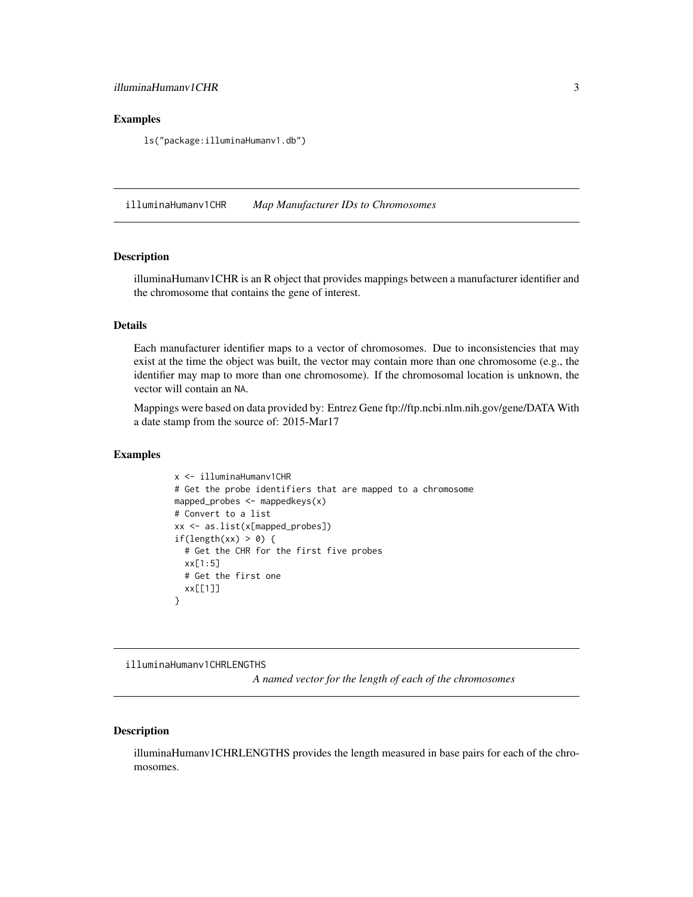## <span id="page-2-0"></span>Examples

ls("package:illuminaHumanv1.db")

illuminaHumanv1CHR *Map Manufacturer IDs to Chromosomes*

## Description

illuminaHumanv1CHR is an R object that provides mappings between a manufacturer identifier and the chromosome that contains the gene of interest.

#### Details

Each manufacturer identifier maps to a vector of chromosomes. Due to inconsistencies that may exist at the time the object was built, the vector may contain more than one chromosome (e.g., the identifier may map to more than one chromosome). If the chromosomal location is unknown, the vector will contain an NA.

Mappings were based on data provided by: Entrez Gene ftp://ftp.ncbi.nlm.nih.gov/gene/DATA With a date stamp from the source of: 2015-Mar17

## Examples

```
x <- illuminaHumanv1CHR
# Get the probe identifiers that are mapped to a chromosome
mapped_probes <- mappedkeys(x)
# Convert to a list
xx <- as.list(x[mapped_probes])
if(length(xx) > 0) {
 # Get the CHR for the first five probes
 xx[1:5]
 # Get the first one
 xx[[1]]
}
```
illuminaHumanv1CHRLENGTHS

*A named vector for the length of each of the chromosomes*

## Description

illuminaHumanv1CHRLENGTHS provides the length measured in base pairs for each of the chromosomes.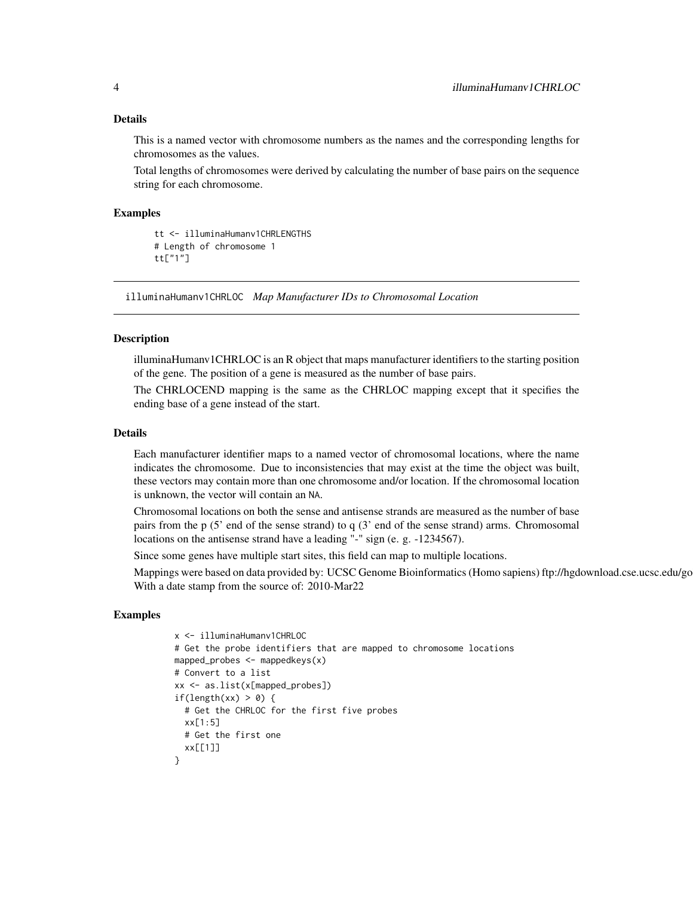#### <span id="page-3-0"></span>Details

This is a named vector with chromosome numbers as the names and the corresponding lengths for chromosomes as the values.

Total lengths of chromosomes were derived by calculating the number of base pairs on the sequence string for each chromosome.

## Examples

```
tt <- illuminaHumanv1CHRLENGTHS
# Length of chromosome 1
tt["1"]
```
illuminaHumanv1CHRLOC *Map Manufacturer IDs to Chromosomal Location*

## Description

illuminaHumanv1CHRLOC is an R object that maps manufacturer identifiers to the starting position of the gene. The position of a gene is measured as the number of base pairs.

The CHRLOCEND mapping is the same as the CHRLOC mapping except that it specifies the ending base of a gene instead of the start.

#### Details

Each manufacturer identifier maps to a named vector of chromosomal locations, where the name indicates the chromosome. Due to inconsistencies that may exist at the time the object was built, these vectors may contain more than one chromosome and/or location. If the chromosomal location is unknown, the vector will contain an NA.

Chromosomal locations on both the sense and antisense strands are measured as the number of base pairs from the p (5' end of the sense strand) to q (3' end of the sense strand) arms. Chromosomal locations on the antisense strand have a leading "-" sign (e. g. -1234567).

Since some genes have multiple start sites, this field can map to multiple locations.

Mappings were based on data provided by: UCSC Genome Bioinformatics (Homo sapiens) ftp://hgdownload.cse.ucsc.edu/go With a date stamp from the source of: 2010-Mar22

```
x <- illuminaHumanv1CHRLOC
# Get the probe identifiers that are mapped to chromosome locations
mapped_probes <- mappedkeys(x)
# Convert to a list
xx <- as.list(x[mapped_probes])
if(length(xx) > 0) {
  # Get the CHRLOC for the first five probes
 xx[1:5]
 # Get the first one
 xx[[1]]
}
```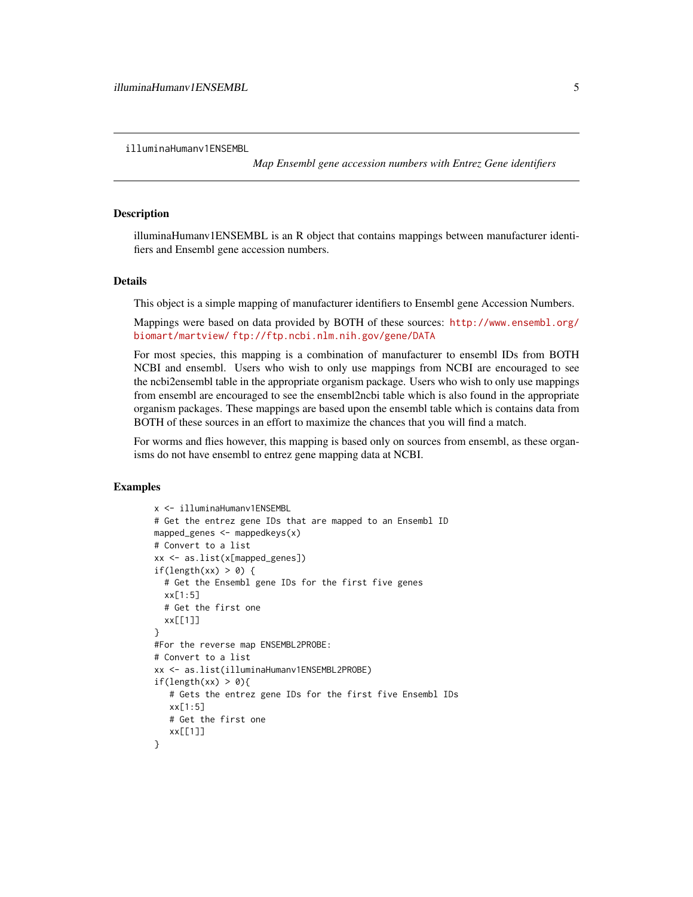<span id="page-4-0"></span>illuminaHumanv1ENSEMBL

*Map Ensembl gene accession numbers with Entrez Gene identifiers*

#### **Description**

illuminaHumanv1ENSEMBL is an R object that contains mappings between manufacturer identifiers and Ensembl gene accession numbers.

## Details

This object is a simple mapping of manufacturer identifiers to Ensembl gene Accession Numbers.

Mappings were based on data provided by BOTH of these sources: [http://www.ensembl.org/](http://www.ensembl.org/biomart/martview/) [biomart/martview/](http://www.ensembl.org/biomart/martview/) <ftp://ftp.ncbi.nlm.nih.gov/gene/DATA>

For most species, this mapping is a combination of manufacturer to ensembl IDs from BOTH NCBI and ensembl. Users who wish to only use mappings from NCBI are encouraged to see the ncbi2ensembl table in the appropriate organism package. Users who wish to only use mappings from ensembl are encouraged to see the ensembl2ncbi table which is also found in the appropriate organism packages. These mappings are based upon the ensembl table which is contains data from BOTH of these sources in an effort to maximize the chances that you will find a match.

For worms and flies however, this mapping is based only on sources from ensembl, as these organisms do not have ensembl to entrez gene mapping data at NCBI.

```
x <- illuminaHumanv1ENSEMBL
# Get the entrez gene IDs that are mapped to an Ensembl ID
mapped_genes <- mappedkeys(x)
# Convert to a list
xx <- as.list(x[mapped_genes])
if(length(xx) > 0) {
  # Get the Ensembl gene IDs for the first five genes
  xx[1:5]
  # Get the first one
  xx[[1]]
}
#For the reverse map ENSEMBL2PROBE:
# Convert to a list
xx <- as.list(illuminaHumanv1ENSEMBL2PROBE)
if(length(xx) > 0){
   # Gets the entrez gene IDs for the first five Ensembl IDs
   xx[1:5]
   # Get the first one
   xx[[1]]
}
```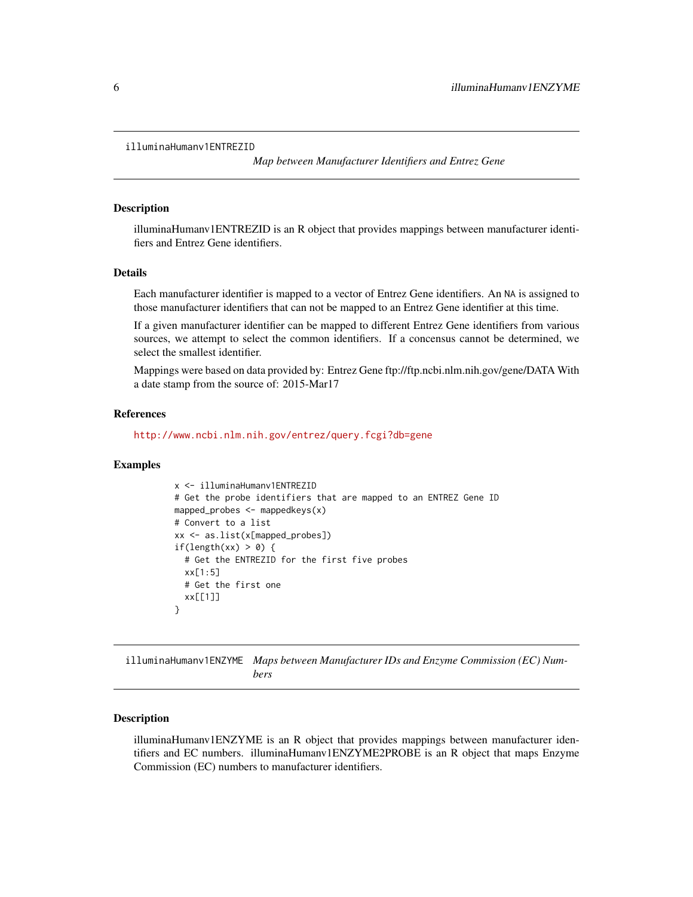```
illuminaHumanv1ENTREZID
```
*Map between Manufacturer Identifiers and Entrez Gene*

#### Description

illuminaHumanv1ENTREZID is an R object that provides mappings between manufacturer identifiers and Entrez Gene identifiers.

#### Details

Each manufacturer identifier is mapped to a vector of Entrez Gene identifiers. An NA is assigned to those manufacturer identifiers that can not be mapped to an Entrez Gene identifier at this time.

If a given manufacturer identifier can be mapped to different Entrez Gene identifiers from various sources, we attempt to select the common identifiers. If a concensus cannot be determined, we select the smallest identifier.

Mappings were based on data provided by: Entrez Gene ftp://ftp.ncbi.nlm.nih.gov/gene/DATA With a date stamp from the source of: 2015-Mar17

## References

<http://www.ncbi.nlm.nih.gov/entrez/query.fcgi?db=gene>

## Examples

```
x <- illuminaHumanv1ENTREZID
# Get the probe identifiers that are mapped to an ENTREZ Gene ID
mapped_probes <- mappedkeys(x)
# Convert to a list
xx <- as.list(x[mapped_probes])
if(length(xx) > 0) {
  # Get the ENTREZID for the first five probes
 xx[1:5]# Get the first one
  xx[[1]]
}
```
illuminaHumanv1ENZYME *Maps between Manufacturer IDs and Enzyme Commission (EC) Numbers*

## **Description**

illuminaHumanv1ENZYME is an R object that provides mappings between manufacturer identifiers and EC numbers. illuminaHumanv1ENZYME2PROBE is an R object that maps Enzyme Commission (EC) numbers to manufacturer identifiers.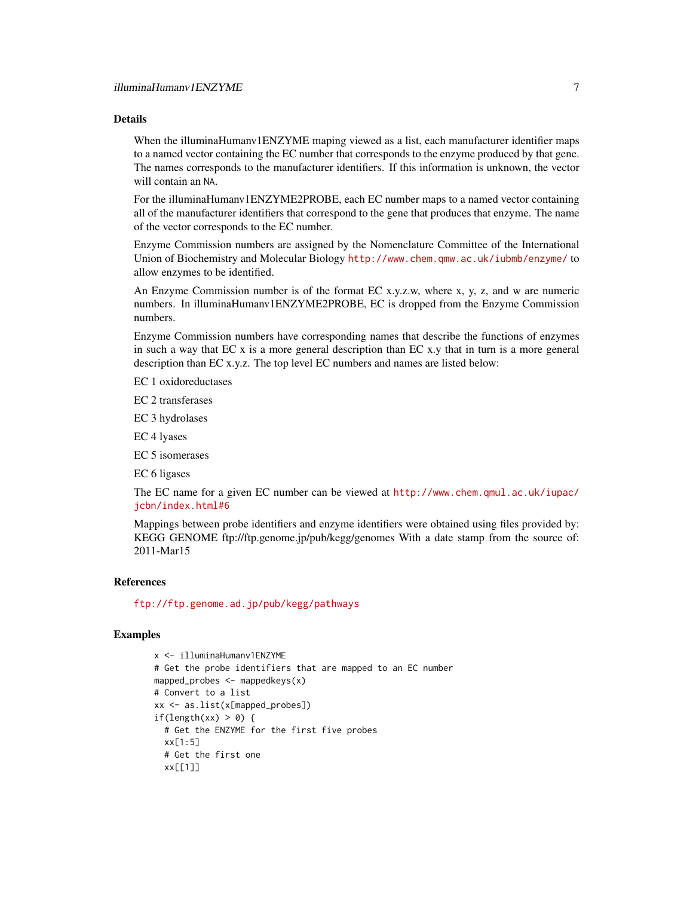## Details

When the illuminaHumanv1ENZYME maping viewed as a list, each manufacturer identifier maps to a named vector containing the EC number that corresponds to the enzyme produced by that gene. The names corresponds to the manufacturer identifiers. If this information is unknown, the vector will contain an NA.

For the illuminaHumanv1ENZYME2PROBE, each EC number maps to a named vector containing all of the manufacturer identifiers that correspond to the gene that produces that enzyme. The name of the vector corresponds to the EC number.

Enzyme Commission numbers are assigned by the Nomenclature Committee of the International Union of Biochemistry and Molecular Biology <http://www.chem.qmw.ac.uk/iubmb/enzyme/> to allow enzymes to be identified.

An Enzyme Commission number is of the format EC x.y.z.w, where x, y, z, and w are numeric numbers. In illuminaHumanv1ENZYME2PROBE, EC is dropped from the Enzyme Commission numbers.

Enzyme Commission numbers have corresponding names that describe the functions of enzymes in such a way that EC x is a more general description than EC x.y that in turn is a more general description than EC x.y.z. The top level EC numbers and names are listed below:

EC 1 oxidoreductases

EC 2 transferases

EC 3 hydrolases

EC 4 lyases

EC 5 isomerases

EC 6 ligases

The EC name for a given EC number can be viewed at [http://www.chem.qmul.ac.uk/iupac/](http://www.chem.qmul.ac.uk/iupac/jcbn/index.html#6) [jcbn/index.html#6](http://www.chem.qmul.ac.uk/iupac/jcbn/index.html#6)

Mappings between probe identifiers and enzyme identifiers were obtained using files provided by: KEGG GENOME ftp://ftp.genome.jp/pub/kegg/genomes With a date stamp from the source of: 2011-Mar15

#### References

<ftp://ftp.genome.ad.jp/pub/kegg/pathways>

```
x <- illuminaHumanv1ENZYME
# Get the probe identifiers that are mapped to an EC number
mapped_probes \leq mappedkeys(x)
# Convert to a list
xx <- as.list(x[mapped_probes])
if(length(xx) > 0) {
  # Get the ENZYME for the first five probes
  xx[1:5]# Get the first one
  xx[[1]]
```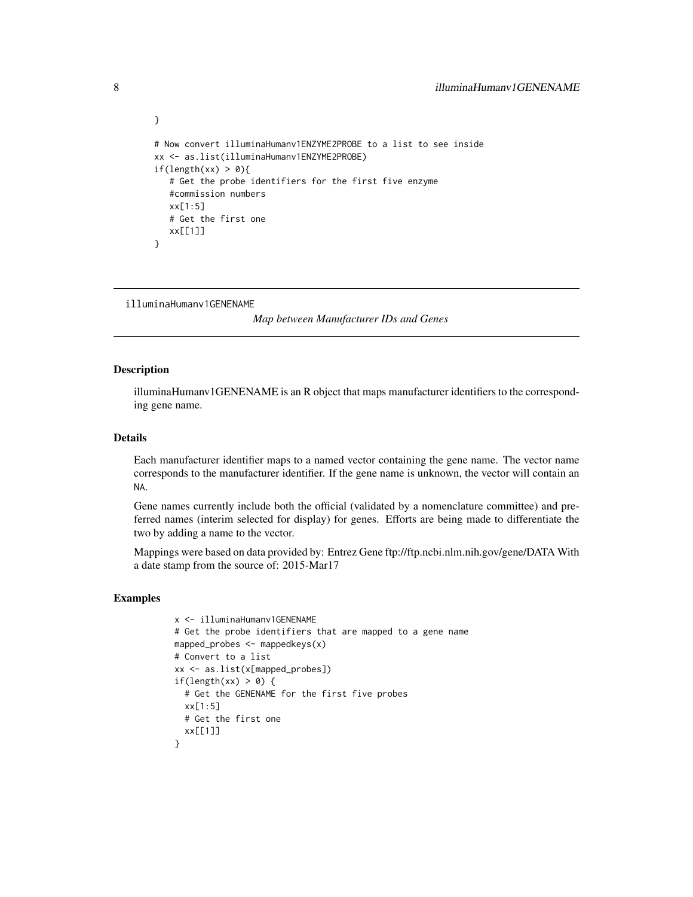```
# Now convert illuminaHumanv1ENZYME2PROBE to a list to see inside
xx <- as.list(illuminaHumanv1ENZYME2PROBE)
if(length(xx) > 0){
   # Get the probe identifiers for the first five enzyme
   #commission numbers
   xx[1:5]
   # Get the first one
   xx[[1]]
}
```
illuminaHumanv1GENENAME

*Map between Manufacturer IDs and Genes*

#### Description

<span id="page-7-0"></span>}

illuminaHumanv1GENENAME is an R object that maps manufacturer identifiers to the corresponding gene name.

## Details

Each manufacturer identifier maps to a named vector containing the gene name. The vector name corresponds to the manufacturer identifier. If the gene name is unknown, the vector will contain an NA.

Gene names currently include both the official (validated by a nomenclature committee) and preferred names (interim selected for display) for genes. Efforts are being made to differentiate the two by adding a name to the vector.

Mappings were based on data provided by: Entrez Gene ftp://ftp.ncbi.nlm.nih.gov/gene/DATA With a date stamp from the source of: 2015-Mar17

```
x <- illuminaHumanv1GENENAME
# Get the probe identifiers that are mapped to a gene name
mapped_probes <- mappedkeys(x)
# Convert to a list
xx <- as.list(x[mapped_probes])
if(length(xx) > 0) {
 # Get the GENENAME for the first five probes
 xx[1:5]
 # Get the first one
 xx[[1]]
}
```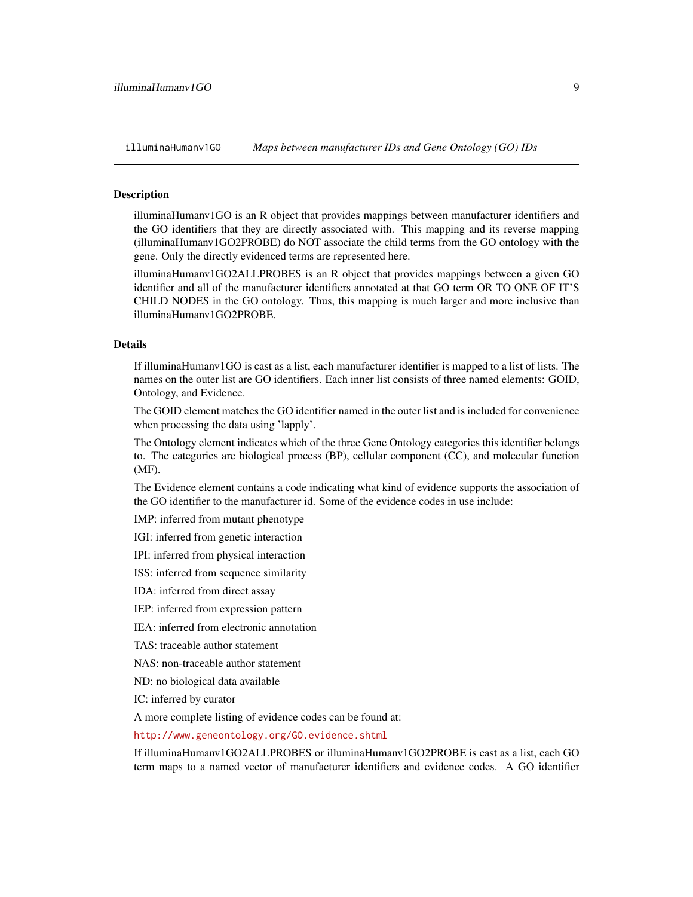<span id="page-8-1"></span>illuminaHumanv1GO *Maps between manufacturer IDs and Gene Ontology (GO) IDs*

## <span id="page-8-0"></span>**Description**

illuminaHumanv1GO is an R object that provides mappings between manufacturer identifiers and the GO identifiers that they are directly associated with. This mapping and its reverse mapping (illuminaHumanv1GO2PROBE) do NOT associate the child terms from the GO ontology with the gene. Only the directly evidenced terms are represented here.

illuminaHumanv1GO2ALLPROBES is an R object that provides mappings between a given GO identifier and all of the manufacturer identifiers annotated at that GO term OR TO ONE OF IT'S CHILD NODES in the GO ontology. Thus, this mapping is much larger and more inclusive than illuminaHumanv1GO2PROBE.

## Details

If illuminaHumanv1GO is cast as a list, each manufacturer identifier is mapped to a list of lists. The names on the outer list are GO identifiers. Each inner list consists of three named elements: GOID, Ontology, and Evidence.

The GOID element matches the GO identifier named in the outer list and is included for convenience when processing the data using 'lapply'.

The Ontology element indicates which of the three Gene Ontology categories this identifier belongs to. The categories are biological process (BP), cellular component (CC), and molecular function (MF).

The Evidence element contains a code indicating what kind of evidence supports the association of the GO identifier to the manufacturer id. Some of the evidence codes in use include:

IMP: inferred from mutant phenotype

IGI: inferred from genetic interaction

IPI: inferred from physical interaction

ISS: inferred from sequence similarity

IDA: inferred from direct assay

IEP: inferred from expression pattern

IEA: inferred from electronic annotation

TAS: traceable author statement

NAS: non-traceable author statement

ND: no biological data available

IC: inferred by curator

A more complete listing of evidence codes can be found at:

<http://www.geneontology.org/GO.evidence.shtml>

If illuminaHumanv1GO2ALLPROBES or illuminaHumanv1GO2PROBE is cast as a list, each GO term maps to a named vector of manufacturer identifiers and evidence codes. A GO identifier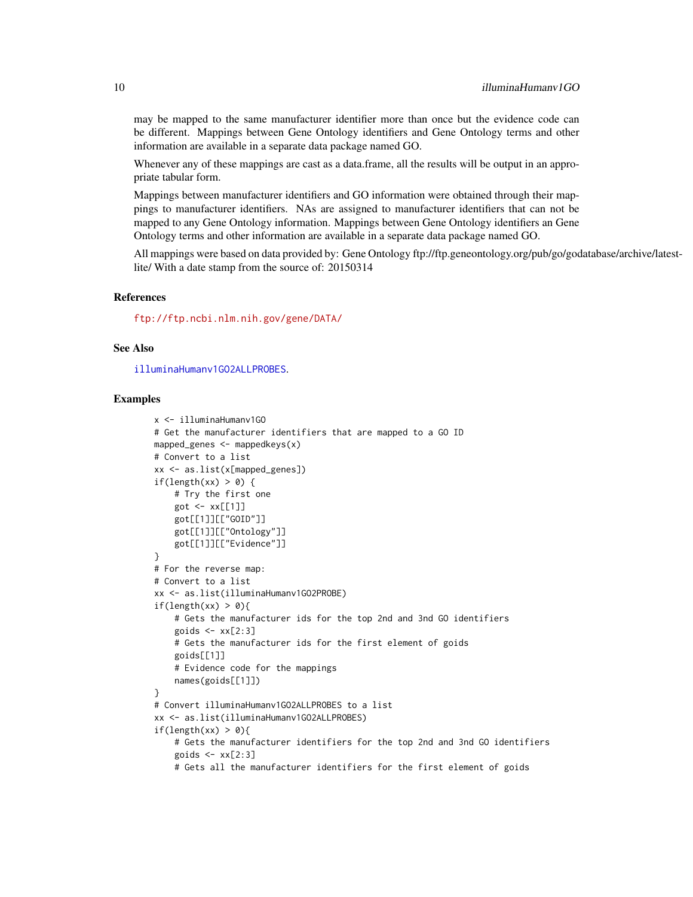may be mapped to the same manufacturer identifier more than once but the evidence code can be different. Mappings between Gene Ontology identifiers and Gene Ontology terms and other information are available in a separate data package named GO.

Whenever any of these mappings are cast as a data.frame, all the results will be output in an appropriate tabular form.

Mappings between manufacturer identifiers and GO information were obtained through their mappings to manufacturer identifiers. NAs are assigned to manufacturer identifiers that can not be mapped to any Gene Ontology information. Mappings between Gene Ontology identifiers an Gene Ontology terms and other information are available in a separate data package named GO.

All mappings were based on data provided by: Gene Ontology ftp://ftp.geneontology.org/pub/go/godatabase/archive/latestlite/ With a date stamp from the source of: 20150314

## References

<ftp://ftp.ncbi.nlm.nih.gov/gene/DATA/>

## See Also

[illuminaHumanv1GO2ALLPROBES](#page-8-0).

```
x <- illuminaHumanv1GO
# Get the manufacturer identifiers that are mapped to a GO ID
mapped_genes \leq mappedkeys(x)
# Convert to a list
xx <- as.list(x[mapped_genes])
if(length(xx) > 0) {
    # Try the first one
    got <- xx[[1]]
    got[[1]][["GOID"]]
    got[[1]][["Ontology"]]
    got[[1]][["Evidence"]]
}
# For the reverse map:
# Convert to a list
xx <- as.list(illuminaHumanv1GO2PROBE)
if(length(xx) > 0){
    # Gets the manufacturer ids for the top 2nd and 3nd GO identifiers
    goids \leq -x \times [2:3]# Gets the manufacturer ids for the first element of goids
    goids[[1]]
    # Evidence code for the mappings
    names(goids[[1]])
}
# Convert illuminaHumanv1GO2ALLPROBES to a list
xx <- as.list(illuminaHumanv1GO2ALLPROBES)
if(length(xx) > 0){
    # Gets the manufacturer identifiers for the top 2nd and 3nd GO identifiers
    goids \leq -x \times [2:3]# Gets all the manufacturer identifiers for the first element of goids
```
<span id="page-9-0"></span>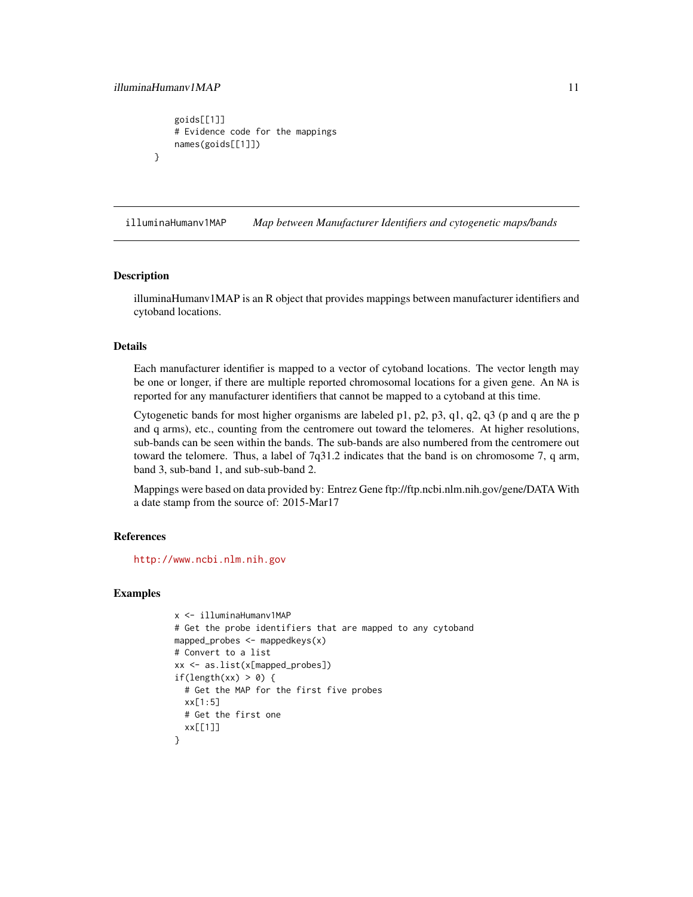}

```
goids[[1]]
# Evidence code for the mappings
names(goids[[1]])
```
illuminaHumanv1MAP *Map between Manufacturer Identifiers and cytogenetic maps/bands*

## **Description**

illuminaHumanv1MAP is an R object that provides mappings between manufacturer identifiers and cytoband locations.

#### Details

Each manufacturer identifier is mapped to a vector of cytoband locations. The vector length may be one or longer, if there are multiple reported chromosomal locations for a given gene. An NA is reported for any manufacturer identifiers that cannot be mapped to a cytoband at this time.

Cytogenetic bands for most higher organisms are labeled p1, p2, p3, q1, q2, q3 (p and q are the p and q arms), etc., counting from the centromere out toward the telomeres. At higher resolutions, sub-bands can be seen within the bands. The sub-bands are also numbered from the centromere out toward the telomere. Thus, a label of 7q31.2 indicates that the band is on chromosome 7, q arm, band 3, sub-band 1, and sub-sub-band 2.

Mappings were based on data provided by: Entrez Gene ftp://ftp.ncbi.nlm.nih.gov/gene/DATA With a date stamp from the source of: 2015-Mar17

## References

<http://www.ncbi.nlm.nih.gov>

```
x <- illuminaHumanv1MAP
# Get the probe identifiers that are mapped to any cytoband
mapped_probes <- mappedkeys(x)
# Convert to a list
xx <- as.list(x[mapped_probes])
if(length(xx) > 0) {
  # Get the MAP for the first five probes
 xx[1:5]
 # Get the first one
 xx[[1]]
}
```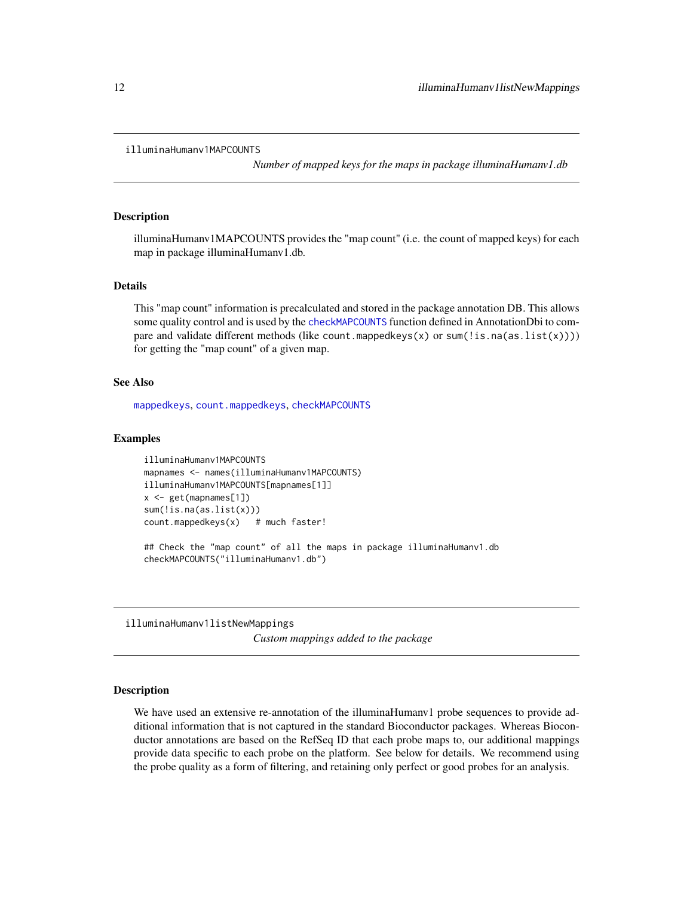```
illuminaHumanv1MAPCOUNTS
```
*Number of mapped keys for the maps in package illuminaHumanv1.db*

## Description

illuminaHumanv1MAPCOUNTS provides the "map count" (i.e. the count of mapped keys) for each map in package illuminaHumanv1.db.

## Details

This "map count" information is precalculated and stored in the package annotation DB. This allows some quality control and is used by the [checkMAPCOUNTS](#page-0-0) function defined in AnnotationDbi to compare and validate different methods (like count.mappedkeys(x) or sum(!is.na(as.list(x)))) for getting the "map count" of a given map.

#### See Also

[mappedkeys](#page-0-0), [count.mappedkeys](#page-0-0), [checkMAPCOUNTS](#page-0-0)

#### Examples

```
illuminaHumanv1MAPCOUNTS
mapnames <- names(illuminaHumanv1MAPCOUNTS)
illuminaHumanv1MAPCOUNTS[mapnames[1]]
x <- get(mapnames[1])
sum(!is.na(as.list(x)))
count.mappedkeys(x) # much faster!
## Check the "map count" of all the maps in package illuminaHumanv1.db
```
checkMAPCOUNTS("illuminaHumanv1.db")

illuminaHumanv1listNewMappings

*Custom mappings added to the package*

## Description

We have used an extensive re-annotation of the illuminaHumanv1 probe sequences to provide additional information that is not captured in the standard Bioconductor packages. Whereas Bioconductor annotations are based on the RefSeq ID that each probe maps to, our additional mappings provide data specific to each probe on the platform. See below for details. We recommend using the probe quality as a form of filtering, and retaining only perfect or good probes for an analysis.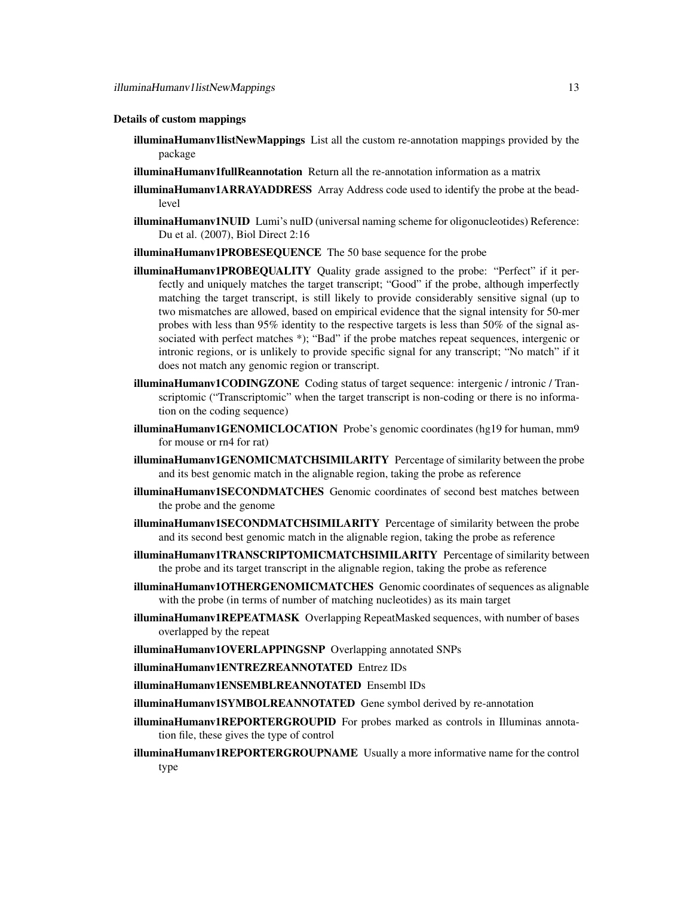#### Details of custom mappings

- illuminaHumanv1listNewMappings List all the custom re-annotation mappings provided by the package
- illuminaHumanv1fullReannotation Return all the re-annotation information as a matrix
- illuminaHumanv1ARRAYADDRESS Array Address code used to identify the probe at the beadlevel
- **illuminaHumanv1NUID** Lumi's nuID (universal naming scheme for oligonucleotides) Reference: Du et al. (2007), Biol Direct 2:16
- illuminaHumanv1PROBESEQUENCE The 50 base sequence for the probe
- illuminaHumanv1PROBEQUALITY Quality grade assigned to the probe: "Perfect" if it perfectly and uniquely matches the target transcript; "Good" if the probe, although imperfectly matching the target transcript, is still likely to provide considerably sensitive signal (up to two mismatches are allowed, based on empirical evidence that the signal intensity for 50-mer probes with less than 95% identity to the respective targets is less than 50% of the signal associated with perfect matches \*); "Bad" if the probe matches repeat sequences, intergenic or intronic regions, or is unlikely to provide specific signal for any transcript; "No match" if it does not match any genomic region or transcript.
- illuminaHumanv1CODINGZONE Coding status of target sequence: intergenic / intronic / Transcriptomic ("Transcriptomic" when the target transcript is non-coding or there is no information on the coding sequence)
- illuminaHumanv1GENOMICLOCATION Probe's genomic coordinates (hg19 for human, mm9 for mouse or rn4 for rat)
- illuminaHumanv1GENOMICMATCHSIMILARITY Percentage of similarity between the probe and its best genomic match in the alignable region, taking the probe as reference
- illuminaHumanv1SECONDMATCHES Genomic coordinates of second best matches between the probe and the genome
- illuminaHumanv1SECONDMATCHSIMILARITY Percentage of similarity between the probe and its second best genomic match in the alignable region, taking the probe as reference
- illuminaHumanv1TRANSCRIPTOMICMATCHSIMILARITY Percentage of similarity between the probe and its target transcript in the alignable region, taking the probe as reference
- illuminaHumanv1OTHERGENOMICMATCHES Genomic coordinates of sequences as alignable with the probe (in terms of number of matching nucleotides) as its main target
- illuminaHumanv1REPEATMASK Overlapping RepeatMasked sequences, with number of bases overlapped by the repeat
- illuminaHumanv1OVERLAPPINGSNP Overlapping annotated SNPs
- illuminaHumanv1ENTREZREANNOTATED Entrez IDs
- illuminaHumanv1ENSEMBLREANNOTATED Ensembl IDs
- illuminaHumanv1SYMBOLREANNOTATED Gene symbol derived by re-annotation
- illuminaHumanv1REPORTERGROUPID For probes marked as controls in Illuminas annotation file, these gives the type of control
- illuminaHumanv1REPORTERGROUPNAME Usually a more informative name for the control type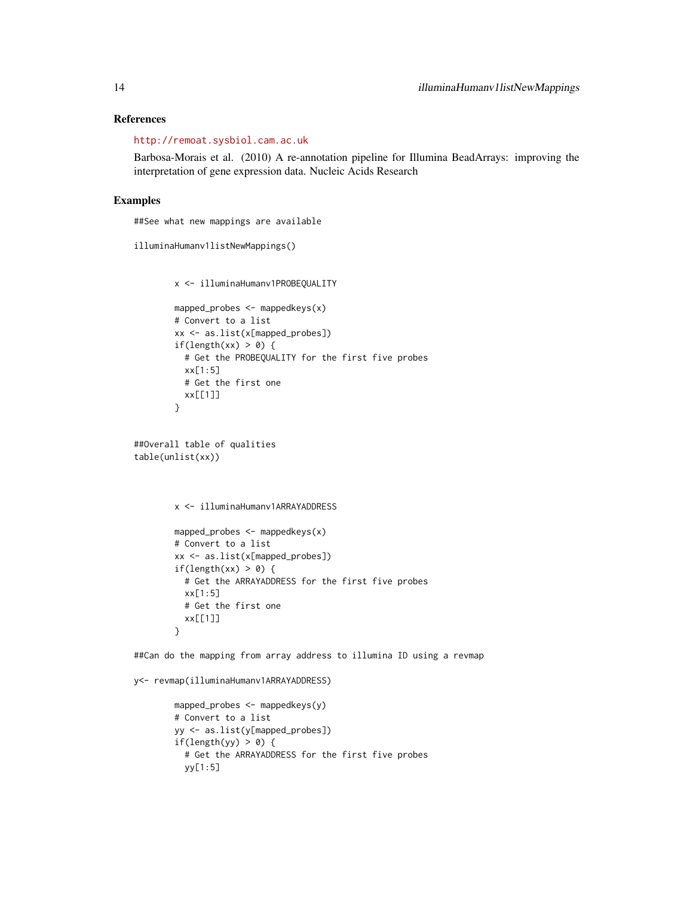## References

<http://remoat.sysbiol.cam.ac.uk>

Barbosa-Morais et al. (2010) A re-annotation pipeline for Illumina BeadArrays: improving the interpretation of gene expression data. Nucleic Acids Research

## Examples

##See what new mappings are available

```
illuminaHumanv1listNewMappings()
```

```
x <- illuminaHumanv1PROBEQUALITY
```

```
mapped_probes \leq mappedkeys(x)
# Convert to a list
xx <- as.list(x[mapped_probes])
if(length(xx) > 0) {
 # Get the PROBEQUALITY for the first five probes
  xx[1:5]
  # Get the first one
  xx[[1]]
}
```

```
##Overall table of qualities
table(unlist(xx))
```

```
x <- illuminaHumanv1ARRAYADDRESS
```

```
mapped_probes \leq mappedkeys(x)
# Convert to a list
xx <- as.list(x[mapped_probes])
if(length(xx) > 0) {
  # Get the ARRAYADDRESS for the first five probes
  xx[1:5]
 # Get the first one
  xx[[1]]
}
```
##Can do the mapping from array address to illumina ID using a revmap

y<- revmap(illuminaHumanv1ARRAYADDRESS)

```
mapped_probes <- mappedkeys(y)
# Convert to a list
yy <- as.list(y[mapped_probes])
if(length(yy) > 0) {
 # Get the ARRAYADDRESS for the first five probes
 yy[1:5]
```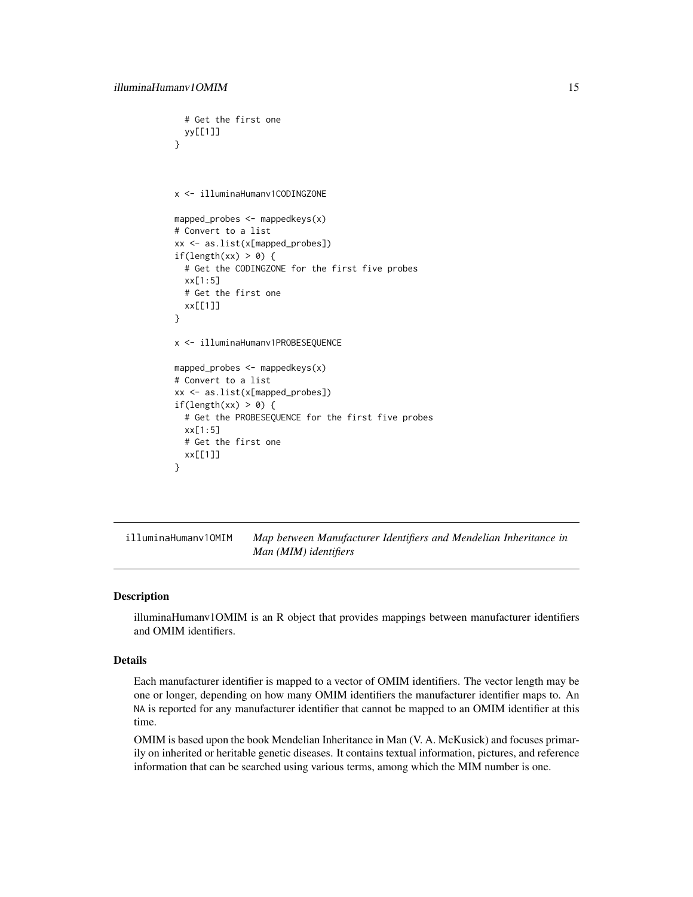```
# Get the first one
 yy[[1]]
}
x <- illuminaHumanv1CODINGZONE
mapped_probes \leq mappedkeys(x)
# Convert to a list
xx <- as.list(x[mapped_probes])
if(length(xx) > 0) {
  # Get the CODINGZONE for the first five probes
  xx[1:5]
 # Get the first one
 xx[[1]]
}
x <- illuminaHumanv1PROBESEQUENCE
mapped_probes <- mappedkeys(x)
# Convert to a list
xx <- as.list(x[mapped_probes])
if(length(xx) > 0) {
  # Get the PROBESEQUENCE for the first five probes
  xx[1:5]
  # Get the first one
  xx[[1]]
}
```
illuminaHumanv1OMIM *Map between Manufacturer Identifiers and Mendelian Inheritance in Man (MIM) identifiers*

## Description

illuminaHumanv1OMIM is an R object that provides mappings between manufacturer identifiers and OMIM identifiers.

#### Details

Each manufacturer identifier is mapped to a vector of OMIM identifiers. The vector length may be one or longer, depending on how many OMIM identifiers the manufacturer identifier maps to. An NA is reported for any manufacturer identifier that cannot be mapped to an OMIM identifier at this time.

OMIM is based upon the book Mendelian Inheritance in Man (V. A. McKusick) and focuses primarily on inherited or heritable genetic diseases. It contains textual information, pictures, and reference information that can be searched using various terms, among which the MIM number is one.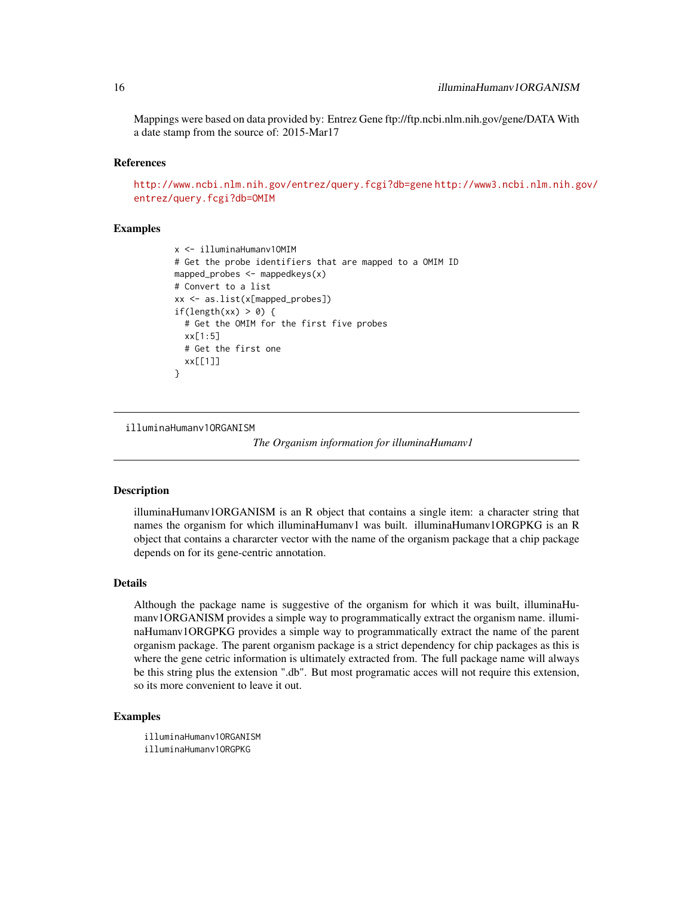Mappings were based on data provided by: Entrez Gene ftp://ftp.ncbi.nlm.nih.gov/gene/DATA With a date stamp from the source of: 2015-Mar17

#### References

<http://www.ncbi.nlm.nih.gov/entrez/query.fcgi?db=gene> [http://www3.ncbi.nlm.nih.g](http://www3.ncbi.nlm.nih.gov/entrez/query.fcgi?db=OMIM)ov/ [entrez/query.fcgi?db=OMIM](http://www3.ncbi.nlm.nih.gov/entrez/query.fcgi?db=OMIM)

## Examples

```
x <- illuminaHumanv1OMIM
# Get the probe identifiers that are mapped to a OMIM ID
mapped_probes <- mappedkeys(x)
# Convert to a list
xx <- as.list(x[mapped_probes])
if(length(xx) > 0) {
  # Get the OMIM for the first five probes
  xx[1:5]
  # Get the first one
  xx[[1]]
}
```
illuminaHumanv1ORGANISM

*The Organism information for illuminaHumanv1*

#### Description

illuminaHumanv1ORGANISM is an R object that contains a single item: a character string that names the organism for which illuminaHumanv1 was built. illuminaHumanv1ORGPKG is an R object that contains a chararcter vector with the name of the organism package that a chip package depends on for its gene-centric annotation.

#### Details

Although the package name is suggestive of the organism for which it was built, illuminaHumanv1ORGANISM provides a simple way to programmatically extract the organism name. illuminaHumanv1ORGPKG provides a simple way to programmatically extract the name of the parent organism package. The parent organism package is a strict dependency for chip packages as this is where the gene cetric information is ultimately extracted from. The full package name will always be this string plus the extension ".db". But most programatic acces will not require this extension, so its more convenient to leave it out.

## Examples

illuminaHumanv1ORGANISM illuminaHumanv1ORGPKG

<span id="page-15-0"></span>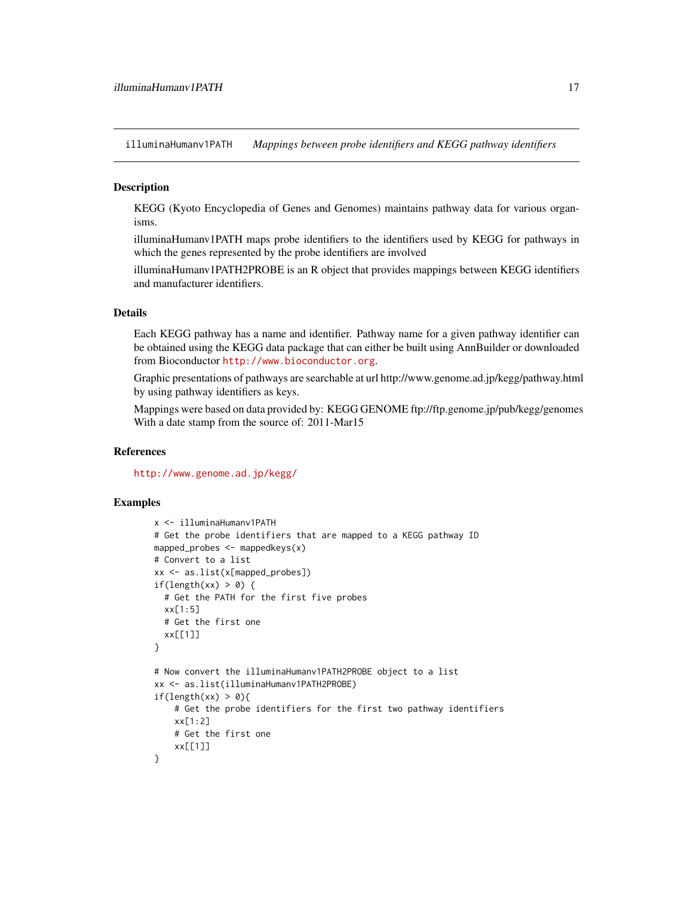<span id="page-16-0"></span>illuminaHumanv1PATH *Mappings between probe identifiers and KEGG pathway identifiers*

## Description

KEGG (Kyoto Encyclopedia of Genes and Genomes) maintains pathway data for various organisms.

illuminaHumanv1PATH maps probe identifiers to the identifiers used by KEGG for pathways in which the genes represented by the probe identifiers are involved

illuminaHumanv1PATH2PROBE is an R object that provides mappings between KEGG identifiers and manufacturer identifiers.

## Details

Each KEGG pathway has a name and identifier. Pathway name for a given pathway identifier can be obtained using the KEGG data package that can either be built using AnnBuilder or downloaded from Bioconductor <http://www.bioconductor.org>.

Graphic presentations of pathways are searchable at url http://www.genome.ad.jp/kegg/pathway.html by using pathway identifiers as keys.

Mappings were based on data provided by: KEGG GENOME ftp://ftp.genome.jp/pub/kegg/genomes With a date stamp from the source of: 2011-Mar15

## References

<http://www.genome.ad.jp/kegg/>

```
x <- illuminaHumanv1PATH
# Get the probe identifiers that are mapped to a KEGG pathway ID
mapped_probes \leq mappedkeys(x)
# Convert to a list
xx <- as.list(x[mapped_probes])
if(length(xx) > 0) {
  # Get the PATH for the first five probes
  xx[1:5]
  # Get the first one
  xx[[1]]
}
# Now convert the illuminaHumanv1PATH2PROBE object to a list
xx <- as.list(illuminaHumanv1PATH2PROBE)
if(length(xx) > 0){
    # Get the probe identifiers for the first two pathway identifiers
    xx[1:2]
    # Get the first one
    xx[[1]]
}
```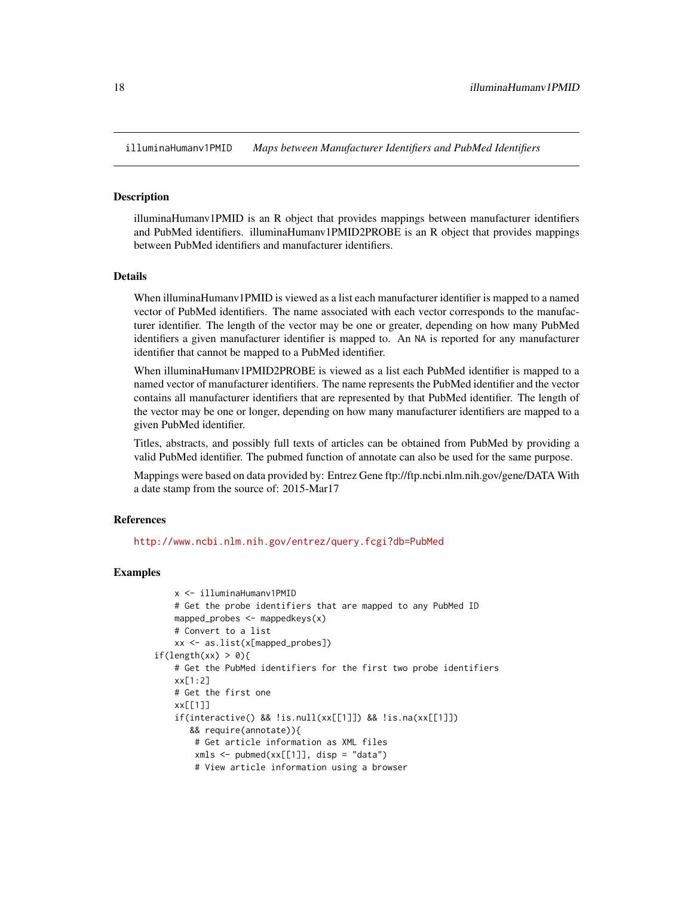<span id="page-17-0"></span>illuminaHumanv1PMID *Maps between Manufacturer Identifiers and PubMed Identifiers*

#### **Description**

illuminaHumanv1PMID is an R object that provides mappings between manufacturer identifiers and PubMed identifiers. illuminaHumanv1PMID2PROBE is an R object that provides mappings between PubMed identifiers and manufacturer identifiers.

## Details

When illuminaHumanv1PMID is viewed as a list each manufacturer identifier is mapped to a named vector of PubMed identifiers. The name associated with each vector corresponds to the manufacturer identifier. The length of the vector may be one or greater, depending on how many PubMed identifiers a given manufacturer identifier is mapped to. An NA is reported for any manufacturer identifier that cannot be mapped to a PubMed identifier.

When illuminaHumanv1PMID2PROBE is viewed as a list each PubMed identifier is mapped to a named vector of manufacturer identifiers. The name represents the PubMed identifier and the vector contains all manufacturer identifiers that are represented by that PubMed identifier. The length of the vector may be one or longer, depending on how many manufacturer identifiers are mapped to a given PubMed identifier.

Titles, abstracts, and possibly full texts of articles can be obtained from PubMed by providing a valid PubMed identifier. The pubmed function of annotate can also be used for the same purpose.

Mappings were based on data provided by: Entrez Gene ftp://ftp.ncbi.nlm.nih.gov/gene/DATA With a date stamp from the source of: 2015-Mar17

## References

<http://www.ncbi.nlm.nih.gov/entrez/query.fcgi?db=PubMed>

```
x <- illuminaHumanv1PMID
   # Get the probe identifiers that are mapped to any PubMed ID
   mapped_probes \leq mappedkeys(x)
   # Convert to a list
   xx <- as.list(x[mapped_probes])
if(length(xx) > 0){
   # Get the PubMed identifiers for the first two probe identifiers
   xx[1:2]
   # Get the first one
   xx[[1]]
    if(interactive() && !is.null(xx[[1]]) && !is.na(xx[[1]])
      && require(annotate)){
        # Get article information as XML files
        xmls < - pubmed(xx[[1]], disp = "data")
        # View article information using a browser
```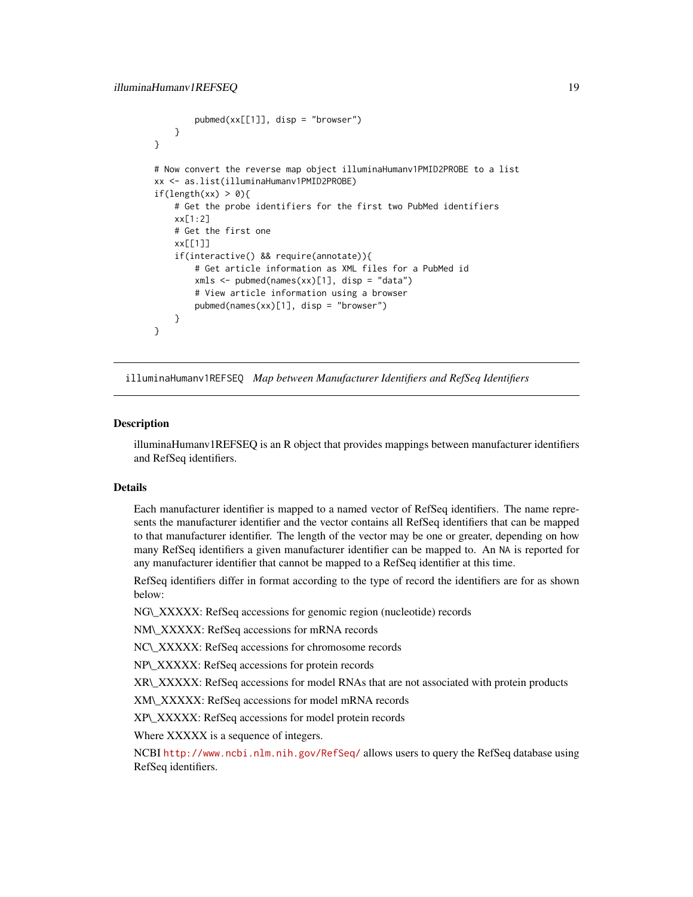```
pubmed(xx[[1]], disp = "browser")
   }
}
# Now convert the reverse map object illuminaHumanv1PMID2PROBE to a list
xx <- as.list(illuminaHumanv1PMID2PROBE)
if(length(xx) > 0){
    # Get the probe identifiers for the first two PubMed identifiers
   xx[1:2]
   # Get the first one
   xx[[1]]
    if(interactive() && require(annotate)){
        # Get article information as XML files for a PubMed id
        xmls < - pubmed(names(xx)[1], disp = "data")
        # View article information using a browser
        pubmed(names(xx)[1], disp = "browser")
   }
}
```
illuminaHumanv1REFSEQ *Map between Manufacturer Identifiers and RefSeq Identifiers*

#### Description

illuminaHumanv1REFSEQ is an R object that provides mappings between manufacturer identifiers and RefSeq identifiers.

## Details

Each manufacturer identifier is mapped to a named vector of RefSeq identifiers. The name represents the manufacturer identifier and the vector contains all RefSeq identifiers that can be mapped to that manufacturer identifier. The length of the vector may be one or greater, depending on how many RefSeq identifiers a given manufacturer identifier can be mapped to. An NA is reported for any manufacturer identifier that cannot be mapped to a RefSeq identifier at this time.

RefSeq identifiers differ in format according to the type of record the identifiers are for as shown below:

NG\\_XXXXX: RefSeq accessions for genomic region (nucleotide) records

NM\\_XXXXX: RefSeq accessions for mRNA records

NC\\_XXXXX: RefSeq accessions for chromosome records

NP\\_XXXXX: RefSeq accessions for protein records

XR\\_XXXXX: RefSeq accessions for model RNAs that are not associated with protein products

XM\\_XXXXX: RefSeq accessions for model mRNA records

XP\\_XXXXX: RefSeq accessions for model protein records

Where XXXXX is a sequence of integers.

NCBI <http://www.ncbi.nlm.nih.gov/RefSeq/> allows users to query the RefSeq database using RefSeq identifiers.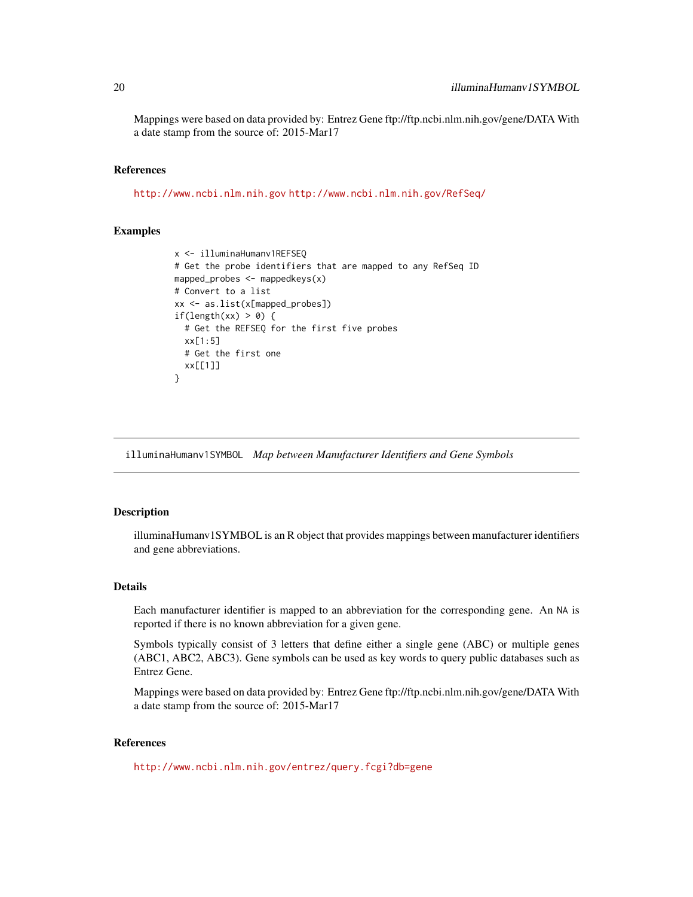<span id="page-19-0"></span>Mappings were based on data provided by: Entrez Gene ftp://ftp.ncbi.nlm.nih.gov/gene/DATA With a date stamp from the source of: 2015-Mar17

#### References

<http://www.ncbi.nlm.nih.gov> <http://www.ncbi.nlm.nih.gov/RefSeq/>

## Examples

```
x <- illuminaHumanv1REFSEQ
# Get the probe identifiers that are mapped to any RefSeq ID
mapped_probes <- mappedkeys(x)
# Convert to a list
xx <- as.list(x[mapped_probes])
if(length(xx) > 0) {
  # Get the REFSEQ for the first five probes
  xx[1:5]
 # Get the first one
 xx[[1]]
}
```
illuminaHumanv1SYMBOL *Map between Manufacturer Identifiers and Gene Symbols*

## Description

illuminaHumanv1SYMBOL is an R object that provides mappings between manufacturer identifiers and gene abbreviations.

## Details

Each manufacturer identifier is mapped to an abbreviation for the corresponding gene. An NA is reported if there is no known abbreviation for a given gene.

Symbols typically consist of 3 letters that define either a single gene (ABC) or multiple genes (ABC1, ABC2, ABC3). Gene symbols can be used as key words to query public databases such as Entrez Gene.

Mappings were based on data provided by: Entrez Gene ftp://ftp.ncbi.nlm.nih.gov/gene/DATA With a date stamp from the source of: 2015-Mar17

## References

<http://www.ncbi.nlm.nih.gov/entrez/query.fcgi?db=gene>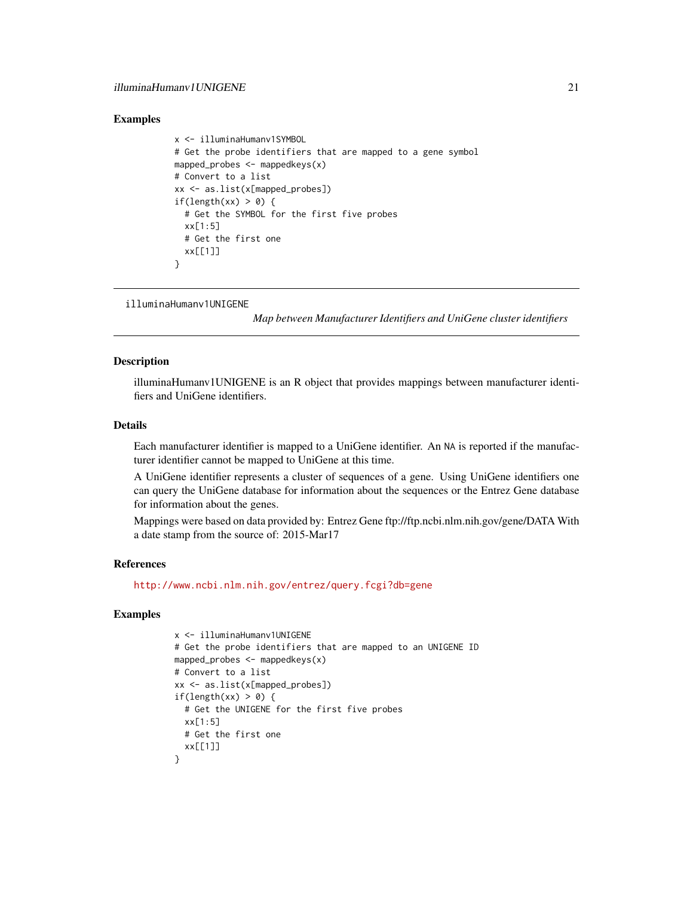#### <span id="page-20-0"></span>Examples

```
x <- illuminaHumanv1SYMBOL
# Get the probe identifiers that are mapped to a gene symbol
mapped_probes \leq mappedkeys(x)
# Convert to a list
xx <- as.list(x[mapped_probes])
if(length(xx) > 0) {
 # Get the SYMBOL for the first five probes
 xx[1:5]
 # Get the first one
 xx[[1]]
}
```

```
illuminaHumanv1UNIGENE
```
*Map between Manufacturer Identifiers and UniGene cluster identifiers*

## Description

illuminaHumanv1UNIGENE is an R object that provides mappings between manufacturer identifiers and UniGene identifiers.

## Details

Each manufacturer identifier is mapped to a UniGene identifier. An NA is reported if the manufacturer identifier cannot be mapped to UniGene at this time.

A UniGene identifier represents a cluster of sequences of a gene. Using UniGene identifiers one can query the UniGene database for information about the sequences or the Entrez Gene database for information about the genes.

Mappings were based on data provided by: Entrez Gene ftp://ftp.ncbi.nlm.nih.gov/gene/DATA With a date stamp from the source of: 2015-Mar17

#### References

<http://www.ncbi.nlm.nih.gov/entrez/query.fcgi?db=gene>

```
x <- illuminaHumanv1UNIGENE
# Get the probe identifiers that are mapped to an UNIGENE ID
mapped_probes <- mappedkeys(x)
# Convert to a list
xx <- as.list(x[mapped_probes])
if(length(xx) > 0) {
  # Get the UNIGENE for the first five probes
 xx[1:5]
 # Get the first one
  xx[[1]]
}
```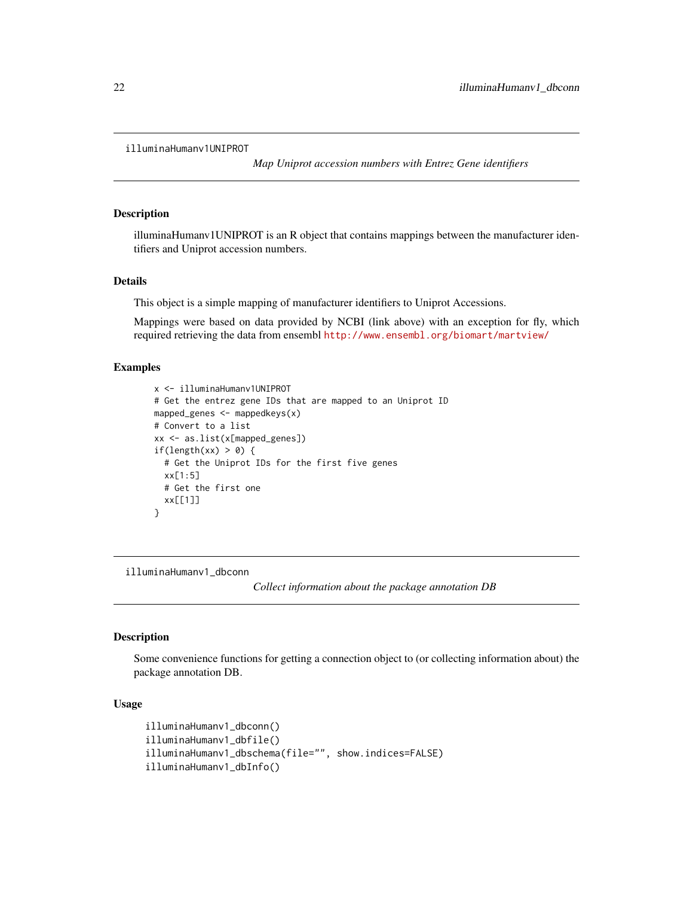```
illuminaHumanv1UNIPROT
```
*Map Uniprot accession numbers with Entrez Gene identifiers*

#### Description

illuminaHumanv1UNIPROT is an R object that contains mappings between the manufacturer identifiers and Uniprot accession numbers.

#### Details

This object is a simple mapping of manufacturer identifiers to Uniprot Accessions.

Mappings were based on data provided by NCBI (link above) with an exception for fly, which required retrieving the data from ensembl <http://www.ensembl.org/biomart/martview/>

## Examples

```
x <- illuminaHumanv1UNIPROT
# Get the entrez gene IDs that are mapped to an Uniprot ID
mapped_genes <- mappedkeys(x)
# Convert to a list
xx <- as.list(x[mapped_genes])
if(length(xx) > 0) {
  # Get the Uniprot IDs for the first five genes
  xx[1:5]
  # Get the first one
  xx[[1]]
}
```
illuminaHumanv1\_dbconn

*Collect information about the package annotation DB*

#### Description

Some convenience functions for getting a connection object to (or collecting information about) the package annotation DB.

## Usage

```
illuminaHumanv1_dbconn()
illuminaHumanv1_dbfile()
illuminaHumanv1_dbschema(file="", show.indices=FALSE)
illuminaHumanv1_dbInfo()
```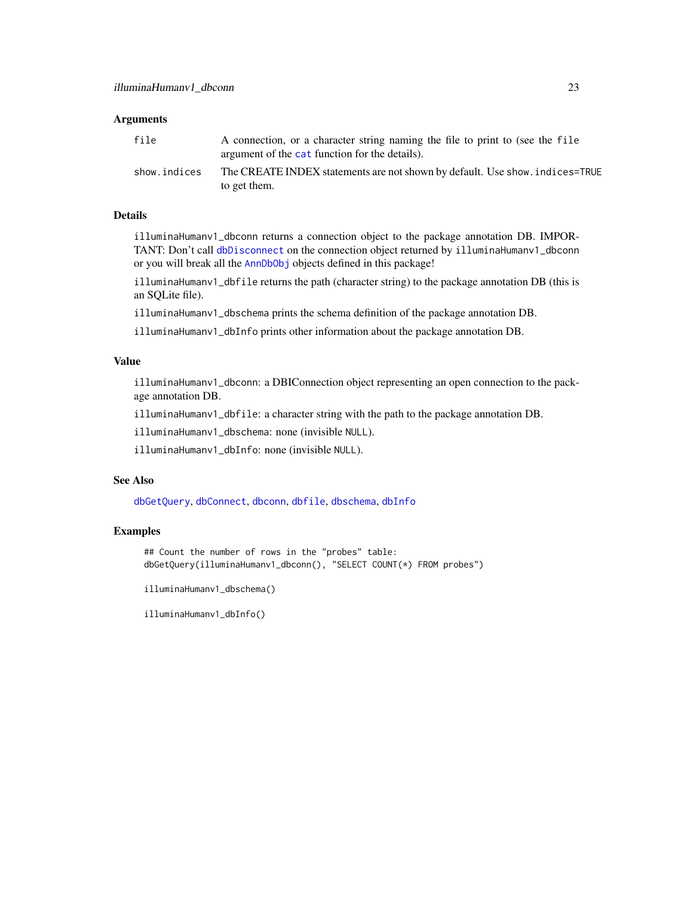## <span id="page-22-0"></span>Arguments

| file         | A connection, or a character string naming the file to print to (see the file<br>argument of the cat function for the details). |
|--------------|---------------------------------------------------------------------------------------------------------------------------------|
| show.indices | The CREATE INDEX statements are not shown by default. Use show, indices=TRUE<br>to get them.                                    |

#### Details

illuminaHumanv1\_dbconn returns a connection object to the package annotation DB. IMPOR-TANT: Don't call [dbDisconnect](#page-0-0) on the connection object returned by illuminaHumanv1\_dbconn or you will break all the [AnnDbObj](#page-0-0) objects defined in this package!

illuminaHumanv1\_dbfile returns the path (character string) to the package annotation DB (this is an SQLite file).

illuminaHumanv1\_dbschema prints the schema definition of the package annotation DB.

illuminaHumanv1\_dbInfo prints other information about the package annotation DB.

## Value

illuminaHumanv1\_dbconn: a DBIConnection object representing an open connection to the package annotation DB.

illuminaHumanv1\_dbfile: a character string with the path to the package annotation DB.

illuminaHumanv1\_dbschema: none (invisible NULL).

illuminaHumanv1\_dbInfo: none (invisible NULL).

## See Also

[dbGetQuery](#page-0-0), [dbConnect](#page-0-0), [dbconn](#page-0-0), [dbfile](#page-0-0), [dbschema](#page-0-0), [dbInfo](#page-0-0)

#### Examples

## Count the number of rows in the "probes" table: dbGetQuery(illuminaHumanv1\_dbconn(), "SELECT COUNT(\*) FROM probes")

illuminaHumanv1\_dbschema()

illuminaHumanv1\_dbInfo()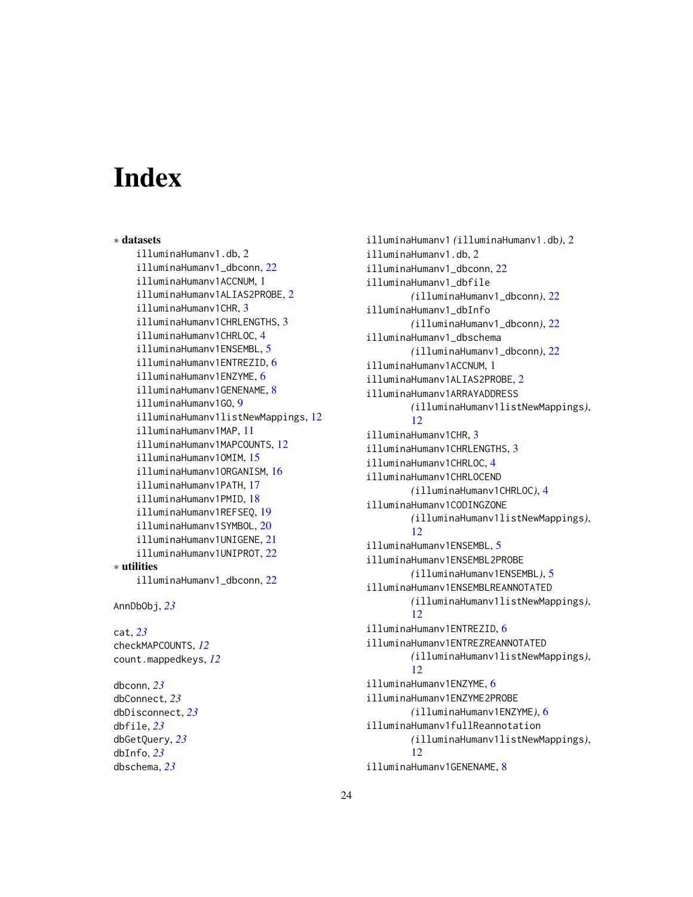# Index

∗ datasets illuminaHumanv1.db, [2](#page-1-0) illuminaHumanv1\_dbconn, [22](#page-21-0) illuminaHumanv1ACCNUM, [1](#page-0-1) illuminaHumanv1ALIAS2PROBE, [2](#page-1-0) illuminaHumanv1CHR, [3](#page-2-0) illuminaHumanv1CHRLENGTHS, [3](#page-2-0) illuminaHumanv1CHRLOC, [4](#page-3-0) illuminaHumanv1ENSEMBL, [5](#page-4-0) illuminaHumanv1ENTREZID, [6](#page-5-0) illuminaHumanv1ENZYME, [6](#page-5-0) illuminaHumanv1GENENAME, [8](#page-7-0) illuminaHumanv1GO, [9](#page-8-1) illuminaHumanv1listNewMappings, [12](#page-11-0) illuminaHumanv1MAP, [11](#page-10-0) illuminaHumanv1MAPCOUNTS, [12](#page-11-0) illuminaHumanv1OMIM, [15](#page-14-0) illuminaHumanv1ORGANISM, [16](#page-15-0) illuminaHumanv1PATH, [17](#page-16-0) illuminaHumanv1PMID, [18](#page-17-0) illuminaHumanv1REFSEQ, [19](#page-18-0) illuminaHumanv1SYMBOL, [20](#page-19-0) illuminaHumanv1UNIGENE, [21](#page-20-0) illuminaHumanv1UNIPROT, [22](#page-21-0) ∗ utilities illuminaHumanv1\_dbconn, [22](#page-21-0)

AnnDbObj, *[23](#page-22-0)*

cat, *[23](#page-22-0)* checkMAPCOUNTS, *[12](#page-11-0)* count.mappedkeys, *[12](#page-11-0)*

dbconn, *[23](#page-22-0)* dbConnect, *[23](#page-22-0)* dbDisconnect, *[23](#page-22-0)* dbfile, *[23](#page-22-0)* dbGetQuery, *[23](#page-22-0)* dbInfo, *[23](#page-22-0)* dbschema, *[23](#page-22-0)*

illuminaHumanv1 *(*illuminaHumanv1.db*)*, [2](#page-1-0) illuminaHumanv1.db, [2](#page-1-0) illuminaHumanv1\_dbconn, [22](#page-21-0) illuminaHumanv1\_dbfile *(*illuminaHumanv1\_dbconn*)*, [22](#page-21-0) illuminaHumanv1\_dbInfo *(*illuminaHumanv1\_dbconn*)*, [22](#page-21-0) illuminaHumanv1\_dbschema *(*illuminaHumanv1\_dbconn*)*, [22](#page-21-0) illuminaHumanv1ACCNUM, [1](#page-0-1) illuminaHumanv1ALIAS2PROBE, [2](#page-1-0) illuminaHumanv1ARRAYADDRESS *(*illuminaHumanv1listNewMappings*)*, [12](#page-11-0) illuminaHumanv1CHR, [3](#page-2-0) illuminaHumanv1CHRLENGTHS, [3](#page-2-0) illuminaHumanv1CHRLOC, [4](#page-3-0) illuminaHumanv1CHRLOCEND *(*illuminaHumanv1CHRLOC*)*, [4](#page-3-0) illuminaHumanv1CODINGZONE *(*illuminaHumanv1listNewMappings*)*, [12](#page-11-0) illuminaHumanv1ENSEMBL, [5](#page-4-0) illuminaHumanv1ENSEMBL2PROBE *(*illuminaHumanv1ENSEMBL*)*, [5](#page-4-0) illuminaHumanv1ENSEMBLREANNOTATED *(*illuminaHumanv1listNewMappings*)*, [12](#page-11-0) illuminaHumanv1ENTREZID, [6](#page-5-0) illuminaHumanv1ENTREZREANNOTATED *(*illuminaHumanv1listNewMappings*)*, [12](#page-11-0) illuminaHumanv1ENZYME, [6](#page-5-0) illuminaHumanv1ENZYME2PROBE *(*illuminaHumanv1ENZYME*)*, [6](#page-5-0) illuminaHumanv1fullReannotation *(*illuminaHumanv1listNewMappings*)*, [12](#page-11-0) illuminaHumanv1GENENAME, [8](#page-7-0)